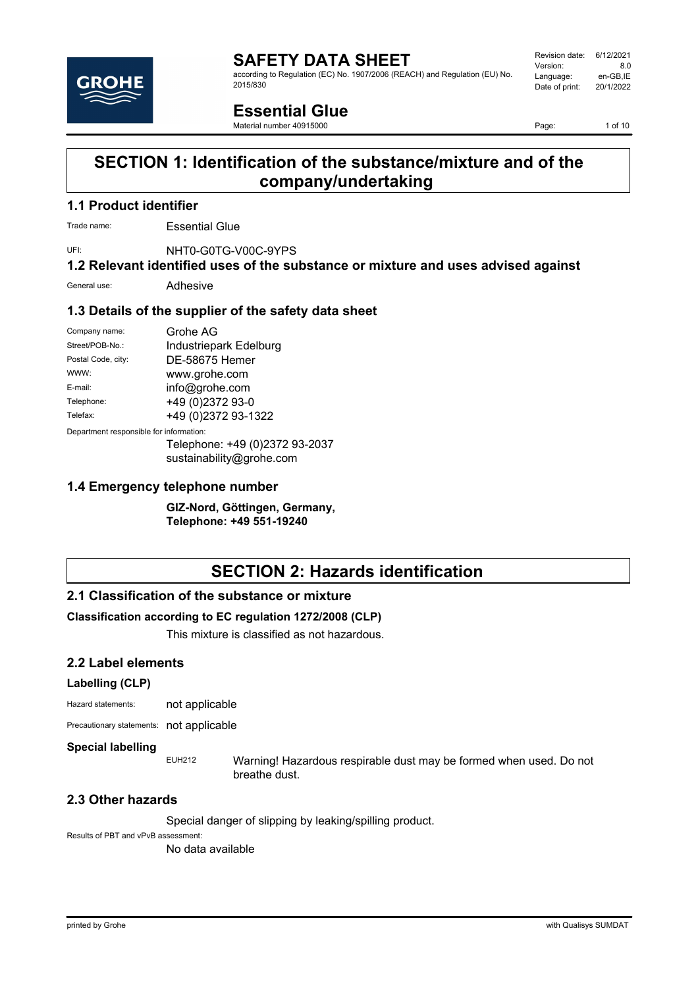

#### **SAFETY DATA SHEET** according to Regulation (EC) No. 1907/2006 (REACH) and Regulation (EU) No. 2015/830

Revision date: 6/12/2021 Version: 8.0<br>Language: en-GB.IE Language: en-GB,IE<br>Date of print: 20/1/2022 Date of print:

# **Essential Glue**

Material number 40915000

Page: 1 of 10

# **SECTION 1: Identification of the substance/mixture and of the company/undertaking**

### **1.1 Product identifier**

Trade name: Essential Glue

UFI: NHT0-G0TG-V00C-9YPS

**1.2 Relevant identified uses of the substance or mixture and uses advised against**

General use: Adhesive

#### **1.3 Details of the supplier of the safety data sheet**

| Company name:                           | Grohe AG               |
|-----------------------------------------|------------------------|
| Street/POB-No.:                         | Industriepark Edelburg |
| Postal Code, city:                      | DE-58675 Hemer         |
| WWW:                                    | www.grohe.com          |
| E-mail:                                 | info@grohe.com         |
| Telephone:                              | +49 (0)2372 93-0       |
| Telefax:                                | +49 (0)2372 93-1322    |
| Department responsible for information: |                        |
|                                         |                        |

Telephone: +49 (0)2372 93-2037 sustainability@grohe.com

#### **1.4 Emergency telephone number**

**GIZ-Nord, Göttingen, Germany, Telephone: +49 551-19240**

# **SECTION 2: Hazards identification**

#### **2.1 Classification of the substance or mixture**

#### **Classification according to EC regulation 1272/2008 (CLP)**

This mixture is classified as not hazardous.

#### **2.2 Label elements**

#### **Labelling (CLP)**

Hazard statements: not applicable

Precautionary statements: not applicable

#### **Special labelling**

EUH212 Warning! Hazardous respirable dust may be formed when used. Do not breathe dust.

#### **2.3 Other hazards**

Special danger of slipping by leaking/spilling product.

Results of PBT and vPvB assessment:

No data available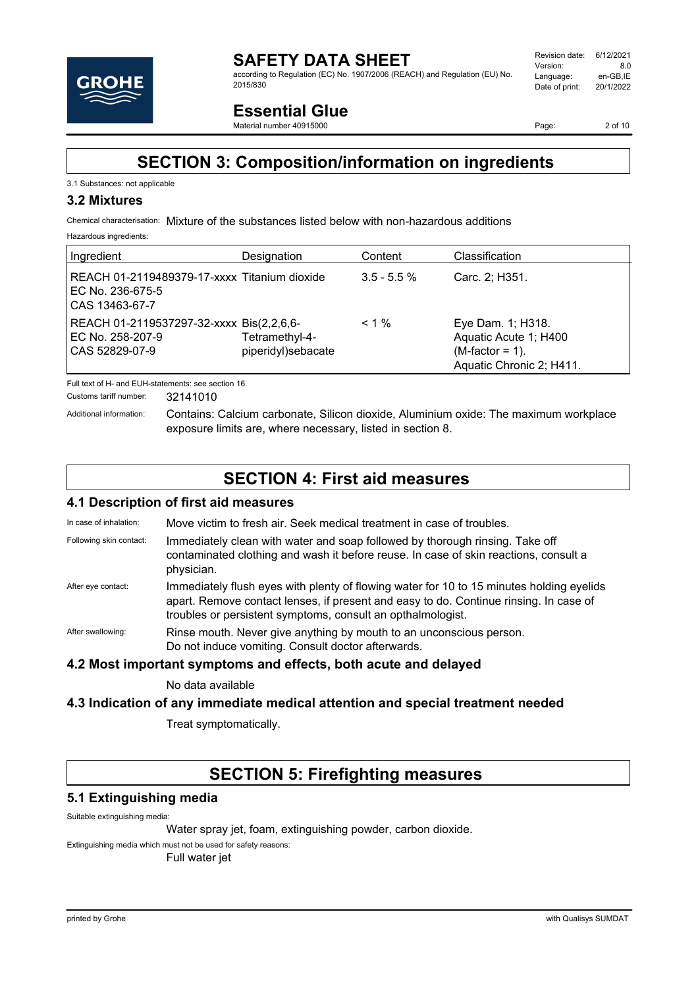

according to Regulation (EC) No. 1907/2006 (REACH) and Regulation (EU) No. 2015/830

# **Essential Glue**

Material number 40915000

Page: 2 of 10

# **SECTION 3: Composition/information on ingredients**

#### 3.1 Substances: not applicable

#### **3.2 Mixtures**

Chemical characterisation: Mixture of the substances listed below with non-hazardous additions

Hazardous ingredients:

| Ingredient                                                                         | Designation                          | Content        | Classification                                                                               |
|------------------------------------------------------------------------------------|--------------------------------------|----------------|----------------------------------------------------------------------------------------------|
| REACH 01-2119489379-17-xxxx Titanium dioxide<br>EC No. 236-675-5<br>CAS 13463-67-7 |                                      | $3.5 - 5.5 \%$ | Carc. 2; H351.                                                                               |
| REACH 01-2119537297-32-xxxx Bis(2,2,6,6-<br>EC No. 258-207-9<br>CAS 52829-07-9     | Tetramethyl-4-<br>piperidyl)sebacate | $< 1\%$        | Eye Dam. 1; H318.<br>Aquatic Acute 1; H400<br>$(M-factor = 1)$ .<br>Aquatic Chronic 2; H411. |

Full text of H- and EUH-statements: see section 16.

Customs tariff number: 32141010

Additional information: Contains: Calcium carbonate, Silicon dioxide, Aluminium oxide: The maximum workplace exposure limits are, where necessary, listed in section 8.

# **SECTION 4: First aid measures**

#### **4.1 Description of first aid measures**

In case of inhalation: Move victim to fresh air. Seek medical treatment in case of troubles. Following skin contact: Immediately clean with water and soap followed by thorough rinsing. Take off contaminated clothing and wash it before reuse. In case of skin reactions, consult a physician. After eye contact: Immediately flush eyes with plenty of flowing water for 10 to 15 minutes holding eyelids apart. Remove contact lenses, if present and easy to do. Continue rinsing. In case of troubles or persistent symptoms, consult an opthalmologist. After swallowing: Rinse mouth. Never give anything by mouth to an unconscious person. Do not induce vomiting. Consult doctor afterwards.

#### **4.2 Most important symptoms and effects, both acute and delayed**

No data available

#### **4.3 Indication of any immediate medical attention and special treatment needed**

Treat symptomatically.

# **SECTION 5: Firefighting measures**

#### **5.1 Extinguishing media**

Suitable extinguishing media:

Water spray jet, foam, extinguishing powder, carbon dioxide.

Extinguishing media which must not be used for safety reasons:

Full water jet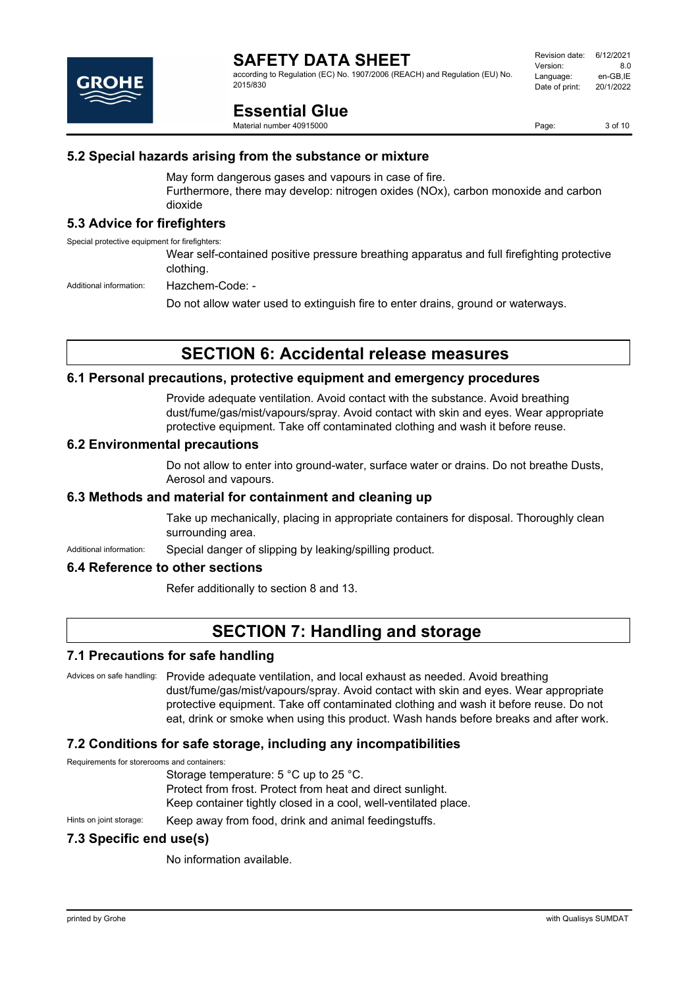

according to Regulation (EC) No. 1907/2006 (REACH) and Regulation (EU) No. 2015/830

# **Essential Glue**

Material number 40915000

Page: 3 of 10

#### **5.2 Special hazards arising from the substance or mixture**

May form dangerous gases and vapours in case of fire. Furthermore, there may develop: nitrogen oxides (NOx), carbon monoxide and carbon dioxide

#### **5.3 Advice for firefighters**

Special protective equipment for firefighters:

Wear self-contained positive pressure breathing apparatus and full firefighting protective clothing.

Additional information: Hazchem-Code: -

Do not allow water used to extinguish fire to enter drains, ground or waterways.

# **SECTION 6: Accidental release measures**

#### **6.1 Personal precautions, protective equipment and emergency procedures**

Provide adequate ventilation. Avoid contact with the substance. Avoid breathing dust/fume/gas/mist/vapours/spray. Avoid contact with skin and eyes. Wear appropriate protective equipment. Take off contaminated clothing and wash it before reuse.

#### **6.2 Environmental precautions**

Do not allow to enter into ground-water, surface water or drains. Do not breathe Dusts, Aerosol and vapours.

#### **6.3 Methods and material for containment and cleaning up**

Take up mechanically, placing in appropriate containers for disposal. Thoroughly clean surrounding area.

Additional information: Special danger of slipping by leaking/spilling product.

#### **6.4 Reference to other sections**

Refer additionally to section 8 and 13.

# **SECTION 7: Handling and storage**

#### **7.1 Precautions for safe handling**

Advices on safe handling: Provide adequate ventilation, and local exhaust as needed. Avoid breathing dust/fume/gas/mist/vapours/spray. Avoid contact with skin and eyes. Wear appropriate protective equipment. Take off contaminated clothing and wash it before reuse. Do not eat, drink or smoke when using this product. Wash hands before breaks and after work.

#### **7.2 Conditions for safe storage, including any incompatibilities**

Requirements for storerooms and containers:

Storage temperature: 5 °C up to 25 °C. Protect from frost. Protect from heat and direct sunlight. Keep container tightly closed in a cool, well-ventilated place.

Hints on joint storage: Keep away from food, drink and animal feedingstuffs.

#### **7.3 Specific end use(s)**

No information available.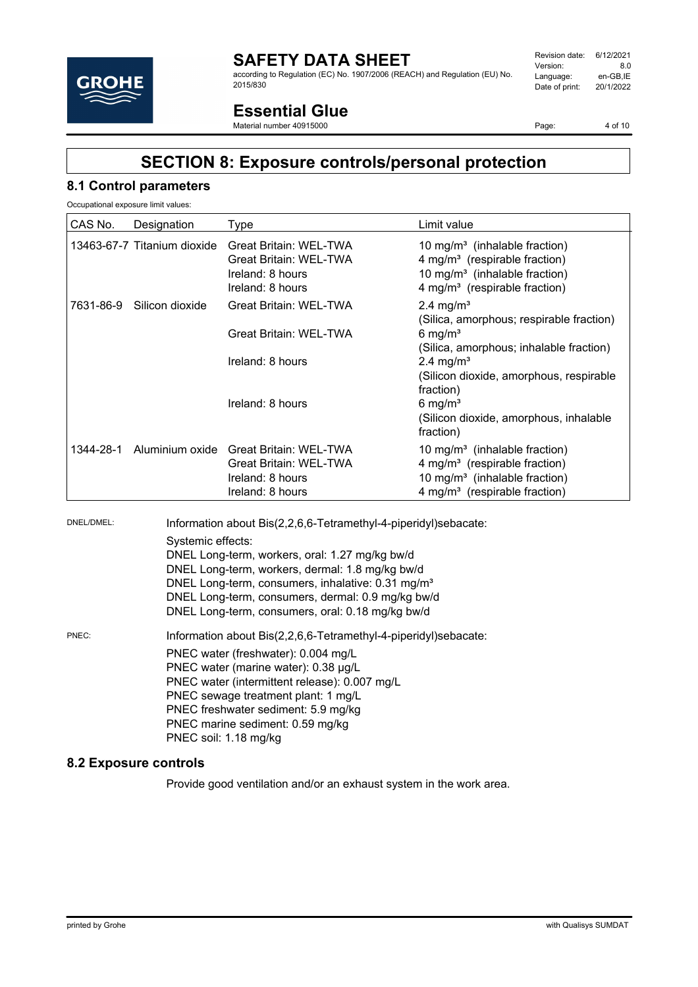

according to Regulation (EC) No. 1907/2006 (REACH) and Regulation (EU) No. 2015/830

# **Essential Glue**

Material number 40915000

Page: 4 of 10

# **SECTION 8: Exposure controls/personal protection**

#### **8.1 Control parameters**

Occupational exposure limit values:

| Designation                 | Type                                                                                                   | Limit value                                                                                                                                                                      |
|-----------------------------|--------------------------------------------------------------------------------------------------------|----------------------------------------------------------------------------------------------------------------------------------------------------------------------------------|
| 13463-67-7 Titanium dioxide | <b>Great Britain: WEL-TWA</b><br><b>Great Britain: WEL-TWA</b><br>Ireland: 8 hours<br>Ireland: 8 hours | 10 mg/m <sup>3</sup> (inhalable fraction)<br>4 mg/m <sup>3</sup> (respirable fraction)<br>10 mg/m <sup>3</sup> (inhalable fraction)<br>4 mg/m <sup>3</sup> (respirable fraction) |
| 7631-86-9 Silicon dioxide   | <b>Great Britain: WEL-TWA</b>                                                                          | 2.4 mg/ $m3$<br>(Silica, amorphous; respirable fraction)                                                                                                                         |
|                             | <b>Great Britain: WEL-TWA</b>                                                                          | 6 mg/ $m3$<br>(Silica, amorphous; inhalable fraction)                                                                                                                            |
|                             | Ireland: 8 hours                                                                                       | $2.4 \text{ mg/m}^3$                                                                                                                                                             |
|                             |                                                                                                        | (Silicon dioxide, amorphous, respirable<br>fraction)                                                                                                                             |
|                             | Ireland: 8 hours                                                                                       | 6 mg/ $m3$                                                                                                                                                                       |
|                             |                                                                                                        | (Silicon dioxide, amorphous, inhalable<br>fraction)                                                                                                                              |
|                             | <b>Great Britain: WEL-TWA</b><br>Ireland: 8 hours<br>Ireland: 8 hours                                  | 10 mg/m <sup>3</sup> (inhalable fraction)<br>4 mg/m <sup>3</sup> (respirable fraction)<br>10 mg/m <sup>3</sup> (inhalable fraction)<br>4 mg/m <sup>3</sup> (respirable fraction) |
|                             |                                                                                                        | Aluminium oxide Great Britain: WEL-TWA                                                                                                                                           |

DNEL/DMEL: Information about Bis(2,2,6,6-Tetramethyl-4-piperidyl)sebacate: Systemic effects: DNEL Long-term, workers, oral: 1.27 mg/kg bw/d DNEL Long-term, workers, dermal: 1.8 mg/kg bw/d DNEL Long-term, consumers, inhalative: 0.31 mg/m<sup>3</sup> DNEL Long-term, consumers, dermal: 0.9 mg/kg bw/d DNEL Long-term, consumers, oral: 0.18 mg/kg bw/d PNEC: Information about Bis(2,2,6,6-Tetramethyl-4-piperidyl)sebacate: PNEC water (freshwater): 0.004 mg/L PNEC water (marine water): 0.38 µg/L PNEC water (intermittent release): 0.007 mg/L PNEC sewage treatment plant: 1 mg/L PNEC freshwater sediment: 5.9 mg/kg PNEC marine sediment: 0.59 mg/kg PNEC soil: 1.18 mg/kg

#### **8.2 Exposure controls**

Provide good ventilation and/or an exhaust system in the work area.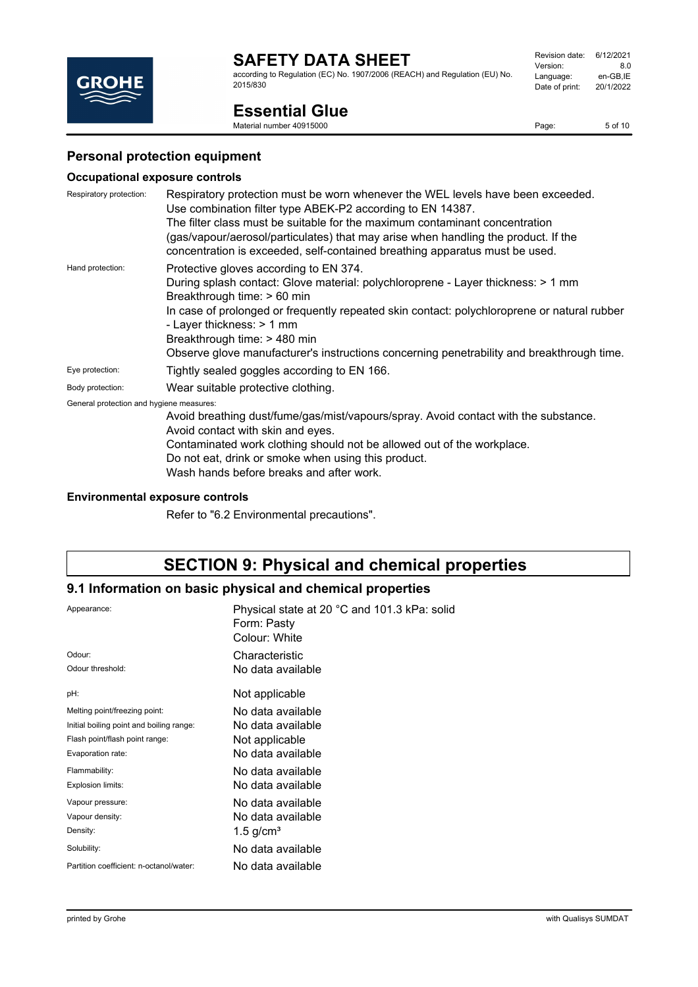according to Regulation (EC) No. 1907/2006 (REACH) and Regulation (EU) No. 2015/830

# **Essential Glue**

Material number 40915000

#### **Personal protection equipment**

#### **Occupational exposure controls**

| Respiratory protection:                  | Respiratory protection must be worn whenever the WEL levels have been exceeded.<br>Use combination filter type ABEK-P2 according to EN 14387.                                                                                                    |  |
|------------------------------------------|--------------------------------------------------------------------------------------------------------------------------------------------------------------------------------------------------------------------------------------------------|--|
|                                          | The filter class must be suitable for the maximum contaminant concentration<br>(gas/vapour/aerosol/particulates) that may arise when handling the product. If the<br>concentration is exceeded, self-contained breathing apparatus must be used. |  |
| Hand protection:                         | Protective gloves according to EN 374.<br>During splash contact: Glove material: polychloroprene - Layer thickness: > 1 mm<br>Breakthrough time: > 60 min                                                                                        |  |
|                                          | In case of prolonged or frequently repeated skin contact: polychloroprene or natural rubber<br>- Layer thickness: > 1 mm<br>Breakthrough time: > 480 min                                                                                         |  |
|                                          | Observe glove manufacturer's instructions concerning penetrability and breakthrough time.                                                                                                                                                        |  |
| Eye protection:                          | Tightly sealed goggles according to EN 166.                                                                                                                                                                                                      |  |
| Body protection:                         | Wear suitable protective clothing.                                                                                                                                                                                                               |  |
| General protection and hygiene measures: |                                                                                                                                                                                                                                                  |  |
|                                          | Avoid breathing dust/fume/gas/mist/vapours/spray. Avoid contact with the substance.<br>Avoid contact with skin and eyes.                                                                                                                         |  |
|                                          | Contaminated work clothing should not be allowed out of the workplace.                                                                                                                                                                           |  |

Do not eat, drink or smoke when using this product.

Wash hands before breaks and after work.

#### **Environmental exposure controls**

Refer to "6.2 Environmental precautions".

# **SECTION 9: Physical and chemical properties**

#### **9.1 Information on basic physical and chemical properties**

| Appearance:                              | Physical state at 20 °C and 101.3 kPa: solid<br>Form: Pasty<br>Colour: White |
|------------------------------------------|------------------------------------------------------------------------------|
| Odour:                                   | Characteristic                                                               |
| Odour threshold:                         | No data available                                                            |
| pH:                                      | Not applicable                                                               |
| Melting point/freezing point:            | No data available                                                            |
| Initial boiling point and boiling range: | No data available                                                            |
| Flash point/flash point range:           | Not applicable                                                               |
| Evaporation rate:                        | No data available                                                            |
| Flammability:                            | No data available                                                            |
| Explosion limits:                        | No data available                                                            |
| Vapour pressure:                         | No data available                                                            |
| Vapour density:                          | No data available                                                            |
| Density:                                 | 1.5 g/cm <sup>3</sup>                                                        |
| Solubility:                              | No data available                                                            |
| Partition coefficient: n-octanol/water:  | No data available                                                            |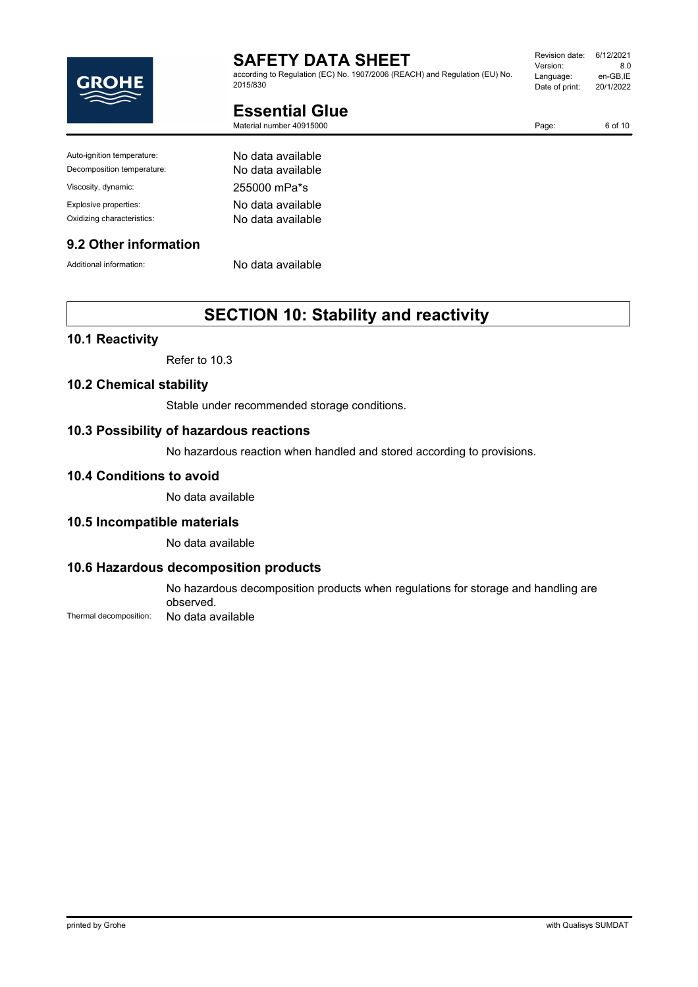

according to Regulation (EC) No. 1907/2006 (REACH) and Regulation (EU) No. 2015/830

| Revision date: | 6/12/2021 |
|----------------|-----------|
| Version:       | 80        |
| Language:      | en-GB,IE  |
| Date of print: | 20/1/2022 |
|                |           |

Page: 6 of 10

**Essential Glue**

Material number 40915000

Auto-ignition temperature: No data available Decomposition temperature: No data available Viscosity, dynamic: 255000 mPa\*s Explosive properties: No data available Oxidizing characteristics: No data available

#### **9.2 Other information**

Additional information: No data available

# **SECTION 10: Stability and reactivity**

#### **10.1 Reactivity**

Refer to 10.3

#### **10.2 Chemical stability**

Stable under recommended storage conditions.

#### **10.3 Possibility of hazardous reactions**

No hazardous reaction when handled and stored according to provisions.

#### **10.4 Conditions to avoid**

No data available

#### **10.5 Incompatible materials**

No data available

#### **10.6 Hazardous decomposition products**

No hazardous decomposition products when regulations for storage and handling are observed. Thermal decomposition: No data available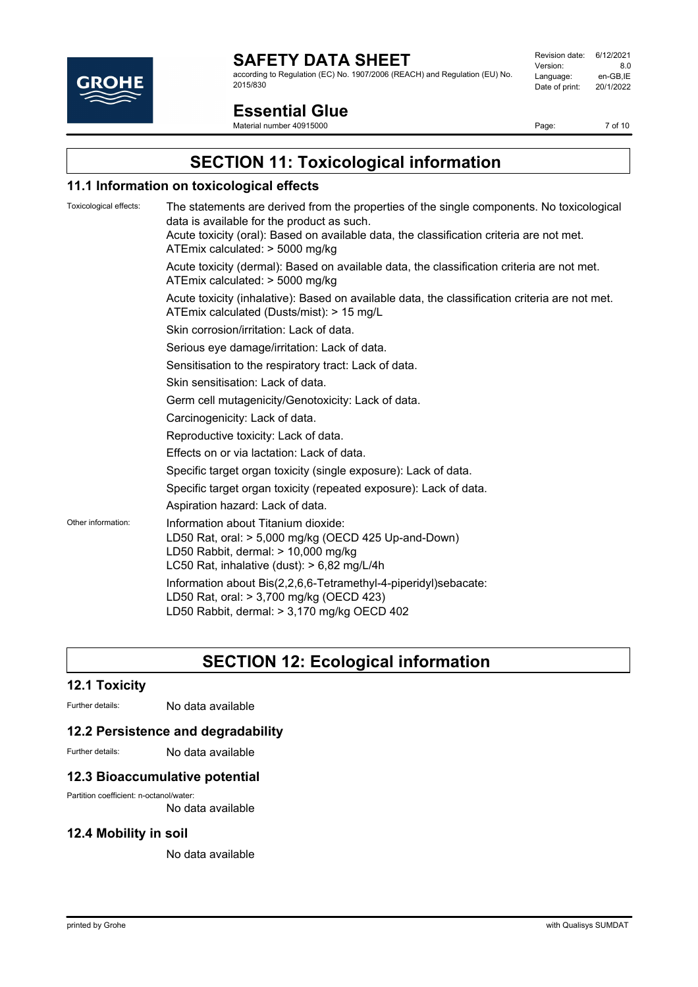

according to Regulation (EC) No. 1907/2006 (REACH) and Regulation (EU) No. 2015/830

| Revision date: | 6/12/2021 |
|----------------|-----------|
| Version:       | 8.0       |
| Language:      | en-GB,IE  |
| Date of print: | 20/1/2022 |
|                |           |

# **Essential Glue**

Material number 40915000

Page: 7 of 10

# **SECTION 11: Toxicological information**

#### **11.1 Information on toxicological effects**

| Toxicological effects: | The statements are derived from the properties of the single components. No toxicological<br>data is available for the product as such.<br>Acute toxicity (oral): Based on available data, the classification criteria are not met.<br>ATEmix calculated: > 5000 mg/kg |
|------------------------|------------------------------------------------------------------------------------------------------------------------------------------------------------------------------------------------------------------------------------------------------------------------|
|                        | Acute toxicity (dermal): Based on available data, the classification criteria are not met.<br>ATEmix calculated: > 5000 mg/kg                                                                                                                                          |
|                        | Acute toxicity (inhalative): Based on available data, the classification criteria are not met.<br>ATEmix calculated (Dusts/mist): > 15 mg/L                                                                                                                            |
|                        | Skin corrosion/irritation: Lack of data.                                                                                                                                                                                                                               |
|                        | Serious eye damage/irritation: Lack of data.                                                                                                                                                                                                                           |
|                        | Sensitisation to the respiratory tract: Lack of data.                                                                                                                                                                                                                  |
|                        | Skin sensitisation: Lack of data.                                                                                                                                                                                                                                      |
|                        | Germ cell mutagenicity/Genotoxicity: Lack of data.                                                                                                                                                                                                                     |
|                        | Carcinogenicity: Lack of data.                                                                                                                                                                                                                                         |
|                        | Reproductive toxicity: Lack of data.                                                                                                                                                                                                                                   |
|                        | Effects on or via lactation: Lack of data.                                                                                                                                                                                                                             |
|                        | Specific target organ toxicity (single exposure): Lack of data.                                                                                                                                                                                                        |
|                        | Specific target organ toxicity (repeated exposure): Lack of data.                                                                                                                                                                                                      |
|                        | Aspiration hazard: Lack of data.                                                                                                                                                                                                                                       |
| Other information:     | Information about Titanium dioxide:<br>LD50 Rat, oral: > 5,000 mg/kg (OECD 425 Up-and-Down)<br>LD50 Rabbit, dermal: > 10,000 mg/kg<br>LC50 Rat, inhalative (dust): $> 6,82$ mg/L/4h                                                                                    |
|                        | Information about Bis(2,2,6,6-Tetramethyl-4-piperidyl)sebacate:<br>LD50 Rat, oral: > 3,700 mg/kg (OECD 423)<br>LD50 Rabbit, dermal: > 3,170 mg/kg OECD 402                                                                                                             |
|                        |                                                                                                                                                                                                                                                                        |

# **SECTION 12: Ecological information**

#### **12.1 Toxicity**

Further details: No data available

#### **12.2 Persistence and degradability**

Further details: No data available

#### **12.3 Bioaccumulative potential**

Partition coefficient: n-octanol/water:

No data available

#### **12.4 Mobility in soil**

No data available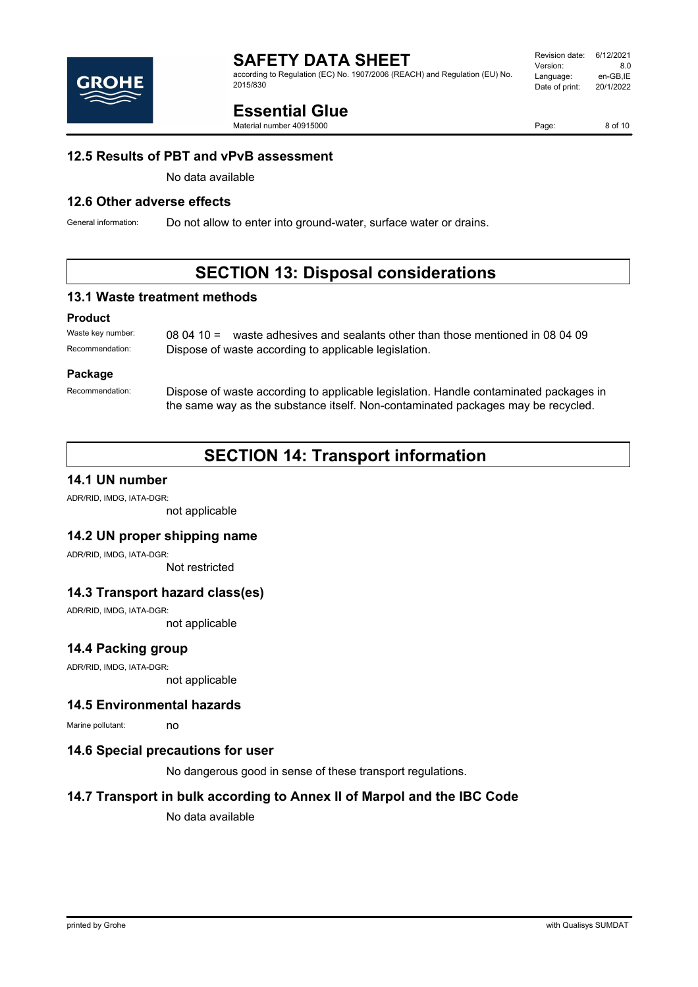

according to Regulation (EC) No. 1907/2006 (REACH) and Regulation (EU) No. 2015/830

# **Essential Glue**

Material number 40915000

#### **12.5 Results of PBT and vPvB assessment**

No data available

#### **12.6 Other adverse effects**

General information: Do not allow to enter into ground-water, surface water or drains.

# **SECTION 13: Disposal considerations**

#### **13.1 Waste treatment methods**

#### **Product**

Waste key number: 08 04 10 = waste adhesives and sealants other than those mentioned in 08 04 09 Recommendation: Dispose of waste according to applicable legislation.

#### **Package**

Recommendation: Dispose of waste according to applicable legislation. Handle contaminated packages in the same way as the substance itself. Non-contaminated packages may be recycled.

# **SECTION 14: Transport information**

#### **14.1 UN number**

ADR/RID, IMDG, IATA-DGR:

not applicable

#### **14.2 UN proper shipping name**

ADR/RID, IMDG, IATA-DGR:

Not restricted

#### **14.3 Transport hazard class(es)**

ADR/RID, IMDG, IATA-DGR:

not applicable

#### **14.4 Packing group**

ADR/RID, IMDG, IATA-DGR:

not applicable

#### **14.5 Environmental hazards**

Marine pollutant: no

#### **14.6 Special precautions for user**

No dangerous good in sense of these transport regulations.

#### **14.7 Transport in bulk according to Annex II of Marpol and the IBC Code**

No data available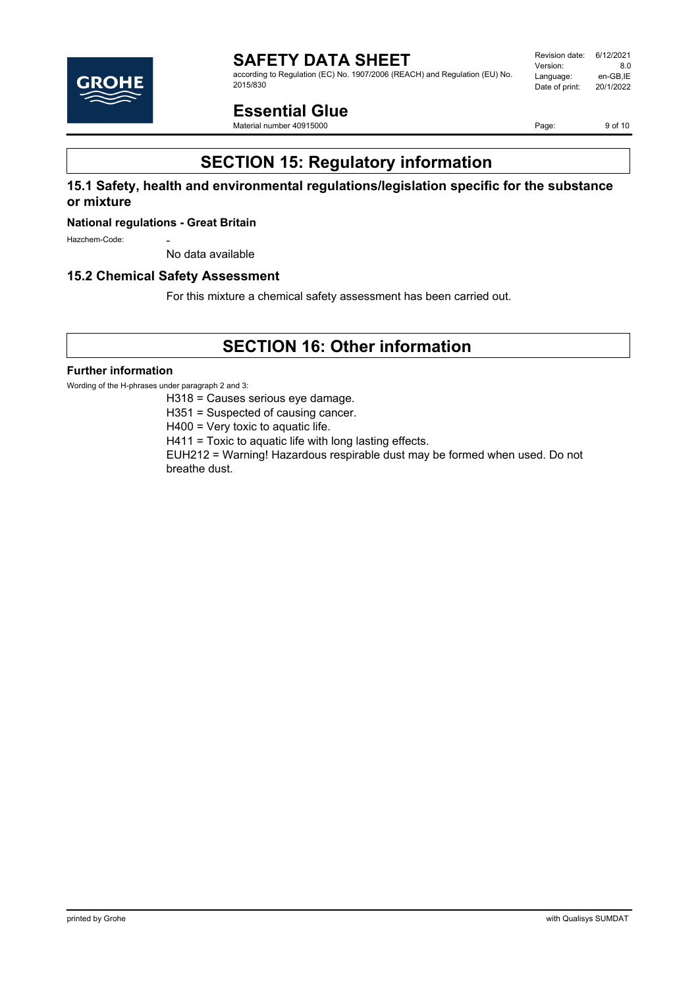

according to Regulation (EC) No. 1907/2006 (REACH) and Regulation (EU) No. 2015/830

Revision date: 6/12/2021 Version: 8.0<br>
Language: en-GB,IE Language: en-GB,IE<br>Date of print: 20/1/2022 Date of print:

# **Essential Glue**

Material number 40915000

Page: 9 of 10

# **SECTION 15: Regulatory information**

#### **15.1 Safety, health and environmental regulations/legislation specific for the substance or mixture**

#### **National regulations - Great Britain**

Hazchem-Code:

No data available

#### **15.2 Chemical Safety Assessment**

For this mixture a chemical safety assessment has been carried out.

# **SECTION 16: Other information**

#### **Further information**

Wording of the H-phrases under paragraph 2 and 3:

H318 = Causes serious eye damage.

H351 = Suspected of causing cancer.

H400 = Very toxic to aquatic life.

H411 = Toxic to aquatic life with long lasting effects.

EUH212 = Warning! Hazardous respirable dust may be formed when used. Do not breathe dust.